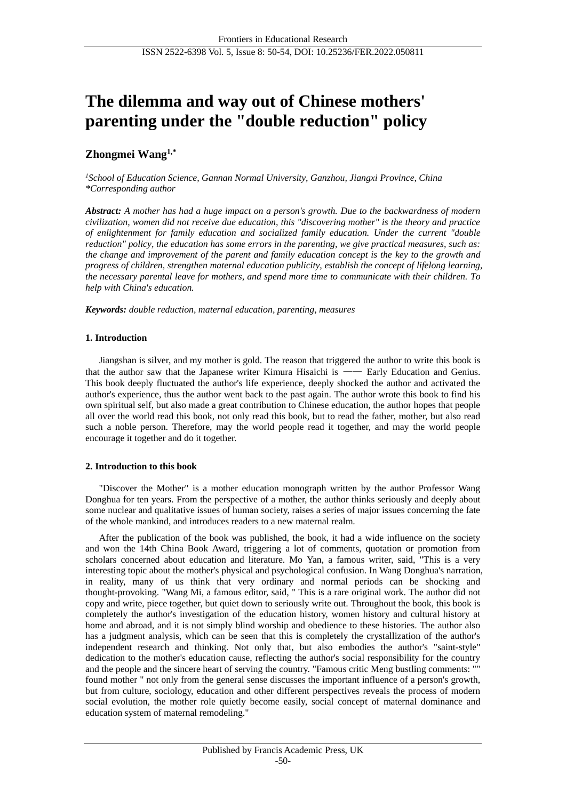# **The dilemma and way out of Chinese mothers' parenting under the "double reduction" policy**

## **Zhongmei Wang1,\***

*<sup>1</sup>School of Education Science, Gannan Normal University, Ganzhou, Jiangxi Province, China \*Corresponding author*

*Abstract: A mother has had a huge impact on a person's growth. Due to the backwardness of modern civilization, women did not receive due education, this "discovering mother" is the theory and practice of enlightenment for family education and socialized family education. Under the current "double reduction" policy, the education has some errors in the parenting, we give practical measures, such as: the change and improvement of the parent and family education concept is the key to the growth and progress of children, strengthen maternal education publicity, establish the concept of lifelong learning, the necessary parental leave for mothers, and spend more time to communicate with their children. To help with China's education.*

*Keywords: double reduction, maternal education, parenting, measures*

## **1. Introduction**

Jiangshan is silver, and my mother is gold. The reason that triggered the author to write this book is that the author saw that the Japanese writer Kimura Hisaichi is —— Early Education and Genius. This book deeply fluctuated the author's life experience, deeply shocked the author and activated the author's experience, thus the author went back to the past again. The author wrote this book to find his own spiritual self, but also made a great contribution to Chinese education, the author hopes that people all over the world read this book, not only read this book, but to read the father, mother, but also read such a noble person. Therefore, may the world people read it together, and may the world people encourage it together and do it together.

## **2. Introduction to this book**

"Discover the Mother" is a mother education monograph written by the author Professor Wang Donghua for ten years. From the perspective of a mother, the author thinks seriously and deeply about some nuclear and qualitative issues of human society, raises a series of major issues concerning the fate of the whole mankind, and introduces readers to a new maternal realm.

After the publication of the book was published, the book, it had a wide influence on the society and won the 14th China Book Award, triggering a lot of comments, quotation or promotion from scholars concerned about education and literature. Mo Yan, a famous writer, said, "This is a very interesting topic about the mother's physical and psychological confusion. In Wang Donghua's narration, in reality, many of us think that very ordinary and normal periods can be shocking and thought-provoking. "Wang Mi, a famous editor, said, " This is a rare original work. The author did not copy and write, piece together, but quiet down to seriously write out. Throughout the book, this book is completely the author's investigation of the education history, women history and cultural history at home and abroad, and it is not simply blind worship and obedience to these histories. The author also has a judgment analysis, which can be seen that this is completely the crystallization of the author's independent research and thinking. Not only that, but also embodies the author's "saint-style" dedication to the mother's education cause, reflecting the author's social responsibility for the country and the people and the sincere heart of serving the country. "Famous critic Meng bustling comments: "" found mother " not only from the general sense discusses the important influence of a person's growth, but from culture, sociology, education and other different perspectives reveals the process of modern social evolution, the mother role quietly become easily, social concept of maternal dominance and education system of maternal remodeling."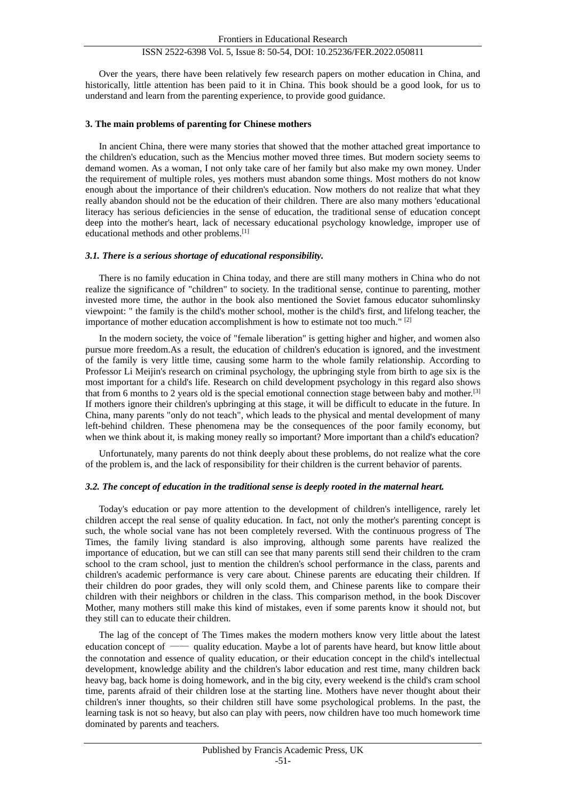Over the years, there have been relatively few research papers on mother education in China, and historically, little attention has been paid to it in China. This book should be a good look, for us to understand and learn from the parenting experience, to provide good guidance.

## **3. The main problems of parenting for Chinese mothers**

In ancient China, there were many stories that showed that the mother attached great importance to the children's education, such as the Mencius mother moved three times. But modern society seems to demand women. As a woman, I not only take care of her family but also make my own money. Under the requirement of multiple roles, yes mothers must abandon some things. Most mothers do not know enough about the importance of their children's education. Now mothers do not realize that what they really abandon should not be the education of their children. There are also many mothers 'educational literacy has serious deficiencies in the sense of education, the traditional sense of education concept deep into the mother's heart, lack of necessary educational psychology knowledge, improper use of educational methods and other problems.[1]

#### *3.1. There is a serious shortage of educational responsibility.*

There is no family education in China today, and there are still many mothers in China who do not realize the significance of "children" to society. In the traditional sense, continue to parenting, mother invested more time, the author in the book also mentioned the Soviet famous educator suhomlinsky viewpoint: " the family is the child's mother school, mother is the child's first, and lifelong teacher, the importance of mother education accomplishment is how to estimate not too much." [2]

In the modern society, the voice of "female liberation" is getting higher and higher, and women also pursue more freedom.As a result, the education of children's education is ignored, and the investment of the family is very little time, causing some harm to the whole family relationship. According to Professor Li Meijin's research on criminal psychology, the upbringing style from birth to age six is the most important for a child's life. Research on child development psychology in this regard also shows that from 6 months to 2 years old is the special emotional connection stage between baby and mother.[3] If mothers ignore their children's upbringing at this stage, it will be difficult to educate in the future. In China, many parents "only do not teach", which leads to the physical and mental development of many left-behind children. These phenomena may be the consequences of the poor family economy, but when we think about it, is making money really so important? More important than a child's education?

Unfortunately, many parents do not think deeply about these problems, do not realize what the core of the problem is, and the lack of responsibility for their children is the current behavior of parents.

#### *3.2. The concept of education in the traditional sense is deeply rooted in the maternal heart.*

Today's education or pay more attention to the development of children's intelligence, rarely let children accept the real sense of quality education. In fact, not only the mother's parenting concept is such, the whole social vane has not been completely reversed. With the continuous progress of The Times, the family living standard is also improving, although some parents have realized the importance of education, but we can still can see that many parents still send their children to the cram school to the cram school, just to mention the children's school performance in the class, parents and children's academic performance is very care about. Chinese parents are educating their children. If their children do poor grades, they will only scold them, and Chinese parents like to compare their children with their neighbors or children in the class. This comparison method, in the book Discover Mother, many mothers still make this kind of mistakes, even if some parents know it should not, but they still can to educate their children.

The lag of the concept of The Times makes the modern mothers know very little about the latest education concept of —— quality education. Maybe a lot of parents have heard, but know little about the connotation and essence of quality education, or their education concept in the child's intellectual development, knowledge ability and the children's labor education and rest time, many children back heavy bag, back home is doing homework, and in the big city, every weekend is the child's cram school time, parents afraid of their children lose at the starting line. Mothers have never thought about their children's inner thoughts, so their children still have some psychological problems. In the past, the learning task is not so heavy, but also can play with peers, now children have too much homework time dominated by parents and teachers.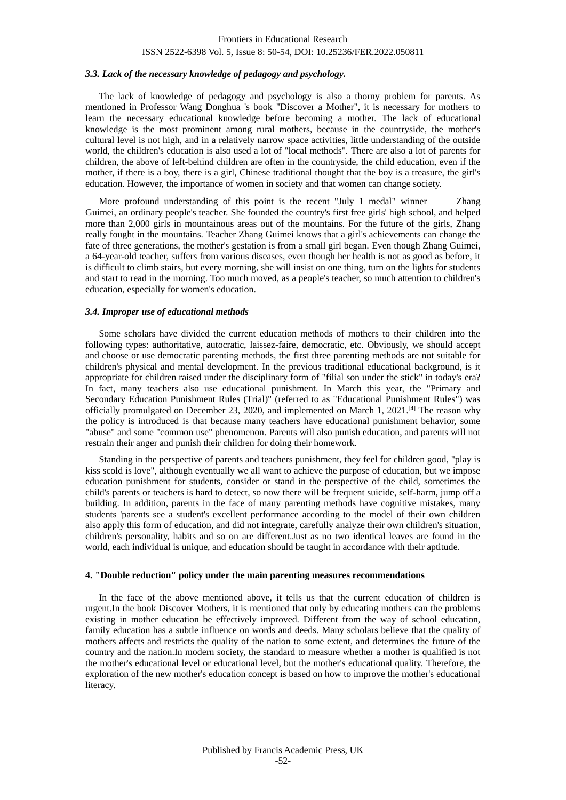#### *3.3. Lack of the necessary knowledge of pedagogy and psychology.*

The lack of knowledge of pedagogy and psychology is also a thorny problem for parents. As mentioned in Professor Wang Donghua 's book "Discover a Mother", it is necessary for mothers to learn the necessary educational knowledge before becoming a mother. The lack of educational knowledge is the most prominent among rural mothers, because in the countryside, the mother's cultural level is not high, and in a relatively narrow space activities, little understanding of the outside world, the children's education is also used a lot of "local methods". There are also a lot of parents for children, the above of left-behind children are often in the countryside, the child education, even if the mother, if there is a boy, there is a girl, Chinese traditional thought that the boy is a treasure, the girl's education. However, the importance of women in society and that women can change society.

More profound understanding of this point is the recent "July 1 medal" winner - Zhang Guimei, an ordinary people's teacher. She founded the country's first free girls' high school, and helped more than 2,000 girls in mountainous areas out of the mountains. For the future of the girls, Zhang really fought in the mountains. Teacher Zhang Guimei knows that a girl's achievements can change the fate of three generations, the mother's gestation is from a small girl began. Even though Zhang Guimei, a 64-year-old teacher, suffers from various diseases, even though her health is not as good as before, it is difficult to climb stairs, but every morning, she will insist on one thing, turn on the lights for students and start to read in the morning. Too much moved, as a people's teacher, so much attention to children's education, especially for women's education.

#### *3.4. Improper use of educational methods*

Some scholars have divided the current education methods of mothers to their children into the following types: authoritative, autocratic, laissez-faire, democratic, etc. Obviously, we should accept and choose or use democratic parenting methods, the first three parenting methods are not suitable for children's physical and mental development. In the previous traditional educational background, is it appropriate for children raised under the disciplinary form of "filial son under the stick" in today's era? In fact, many teachers also use educational punishment. In March this year, the "Primary and Secondary Education Punishment Rules (Trial)" (referred to as "Educational Punishment Rules") was officially promulgated on December 23, 2020, and implemented on March 1, 2021.<sup>[4]</sup> The reason why the policy is introduced is that because many teachers have educational punishment behavior, some "abuse" and some "common use" phenomenon. Parents will also punish education, and parents will not restrain their anger and punish their children for doing their homework.

Standing in the perspective of parents and teachers punishment, they feel for children good, "play is kiss scold is love", although eventually we all want to achieve the purpose of education, but we impose education punishment for students, consider or stand in the perspective of the child, sometimes the child's parents or teachers is hard to detect, so now there will be frequent suicide, self-harm, jump off a building. In addition, parents in the face of many parenting methods have cognitive mistakes, many students 'parents see a student's excellent performance according to the model of their own children also apply this form of education, and did not integrate, carefully analyze their own children's situation, children's personality, habits and so on are different.Just as no two identical leaves are found in the world, each individual is unique, and education should be taught in accordance with their aptitude.

#### **4. "Double reduction" policy under the main parenting measures recommendations**

In the face of the above mentioned above, it tells us that the current education of children is urgent.In the book Discover Mothers, it is mentioned that only by educating mothers can the problems existing in mother education be effectively improved. Different from the way of school education, family education has a subtle influence on words and deeds. Many scholars believe that the quality of mothers affects and restricts the quality of the nation to some extent, and determines the future of the country and the nation.In modern society, the standard to measure whether a mother is qualified is not the mother's educational level or educational level, but the mother's educational quality. Therefore, the exploration of the new mother's education concept is based on how to improve the mother's educational literacy.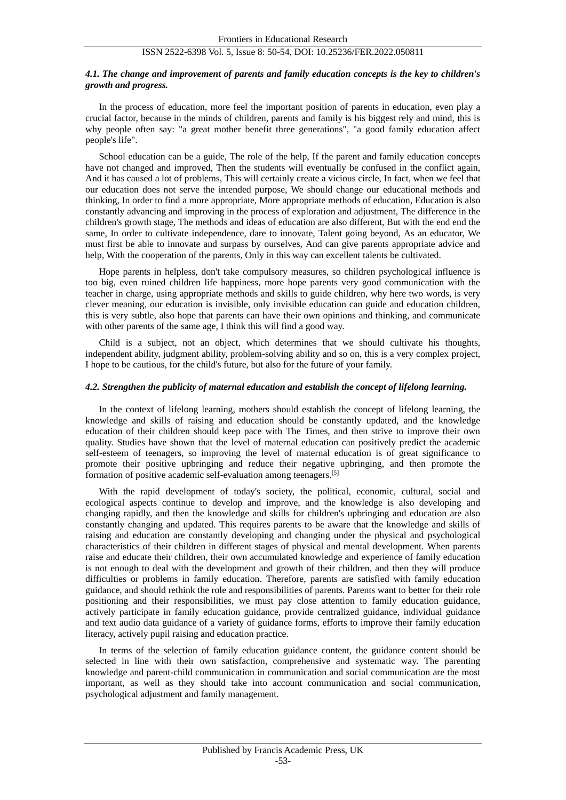#### *4.1. The change and improvement of parents and family education concepts is the key to children's growth and progress.*

In the process of education, more feel the important position of parents in education, even play a crucial factor, because in the minds of children, parents and family is his biggest rely and mind, this is why people often say: "a great mother benefit three generations", "a good family education affect people's life".

School education can be a guide, The role of the help, If the parent and family education concepts have not changed and improved, Then the students will eventually be confused in the conflict again, And it has caused a lot of problems, This will certainly create a vicious circle, In fact, when we feel that our education does not serve the intended purpose, We should change our educational methods and thinking, In order to find a more appropriate, More appropriate methods of education, Education is also constantly advancing and improving in the process of exploration and adjustment, The difference in the children's growth stage, The methods and ideas of education are also different, But with the end end the same, In order to cultivate independence, dare to innovate, Talent going beyond, As an educator, We must first be able to innovate and surpass by ourselves, And can give parents appropriate advice and help, With the cooperation of the parents, Only in this way can excellent talents be cultivated.

Hope parents in helpless, don't take compulsory measures, so children psychological influence is too big, even ruined children life happiness, more hope parents very good communication with the teacher in charge, using appropriate methods and skills to guide children, why here two words, is very clever meaning, our education is invisible, only invisible education can guide and education children, this is very subtle, also hope that parents can have their own opinions and thinking, and communicate with other parents of the same age, I think this will find a good way.

Child is a subject, not an object, which determines that we should cultivate his thoughts, independent ability, judgment ability, problem-solving ability and so on, this is a very complex project, I hope to be cautious, for the child's future, but also for the future of your family.

#### *4.2. Strengthen the publicity of maternal education and establish the concept of lifelong learning.*

In the context of lifelong learning, mothers should establish the concept of lifelong learning, the knowledge and skills of raising and education should be constantly updated, and the knowledge education of their children should keep pace with The Times, and then strive to improve their own quality. Studies have shown that the level of maternal education can positively predict the academic self-esteem of teenagers, so improving the level of maternal education is of great significance to promote their positive upbringing and reduce their negative upbringing, and then promote the formation of positive academic self-evaluation among teenagers.[5]

With the rapid development of today's society, the political, economic, cultural, social and ecological aspects continue to develop and improve, and the knowledge is also developing and changing rapidly, and then the knowledge and skills for children's upbringing and education are also constantly changing and updated. This requires parents to be aware that the knowledge and skills of raising and education are constantly developing and changing under the physical and psychological characteristics of their children in different stages of physical and mental development. When parents raise and educate their children, their own accumulated knowledge and experience of family education is not enough to deal with the development and growth of their children, and then they will produce difficulties or problems in family education. Therefore, parents are satisfied with family education guidance, and should rethink the role and responsibilities of parents. Parents want to better for their role positioning and their responsibilities, we must pay close attention to family education guidance, actively participate in family education guidance, provide centralized guidance, individual guidance and text audio data guidance of a variety of guidance forms, efforts to improve their family education literacy, actively pupil raising and education practice.

In terms of the selection of family education guidance content, the guidance content should be selected in line with their own satisfaction, comprehensive and systematic way. The parenting knowledge and parent-child communication in communication and social communication are the most important, as well as they should take into account communication and social communication, psychological adjustment and family management.